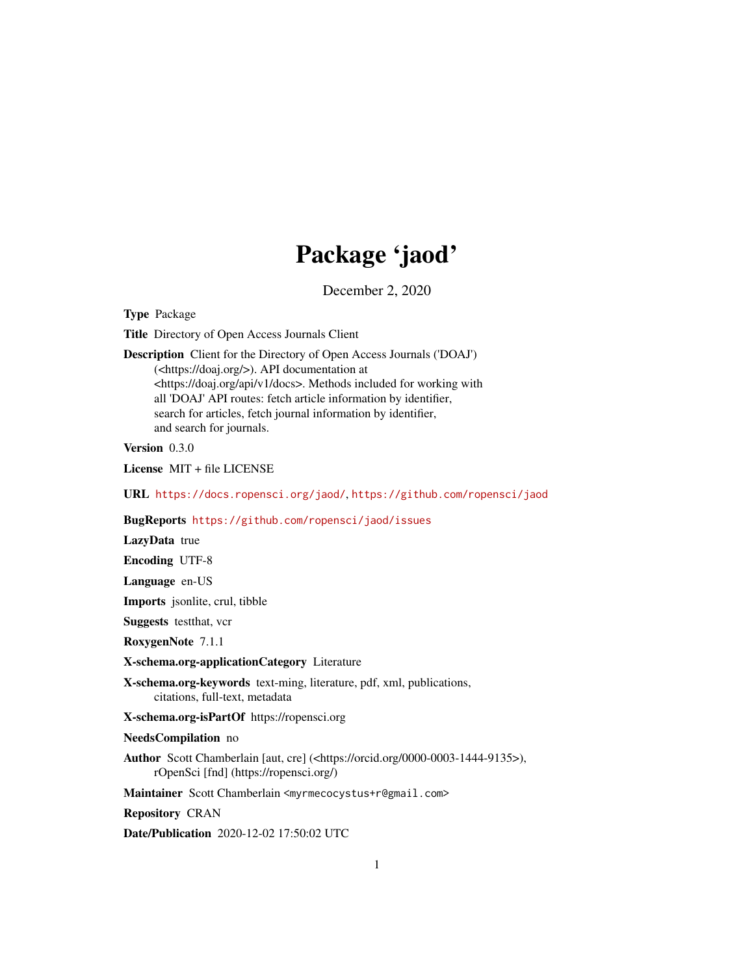## Package 'jaod'

December 2, 2020

<span id="page-0-0"></span>Type Package

Title Directory of Open Access Journals Client

Description Client for the Directory of Open Access Journals ('DOAJ') (<https://doaj.org/>). API documentation at <https://doaj.org/api/v1/docs>. Methods included for working with all 'DOAJ' API routes: fetch article information by identifier, search for articles, fetch journal information by identifier, and search for journals.

Version 0.3.0

License MIT + file LICENSE

URL <https://docs.ropensci.org/jaod/>, <https://github.com/ropensci/jaod>

BugReports <https://github.com/ropensci/jaod/issues>

LazyData true

Encoding UTF-8

Language en-US

Imports jsonlite, crul, tibble

Suggests testthat, vcr

RoxygenNote 7.1.1

X-schema.org-applicationCategory Literature

X-schema.org-keywords text-ming, literature, pdf, xml, publications, citations, full-text, metadata

X-schema.org-isPartOf https://ropensci.org

NeedsCompilation no

Author Scott Chamberlain [aut, cre] (<https://orcid.org/0000-0003-1444-9135>), rOpenSci [fnd] (https://ropensci.org/)

Maintainer Scott Chamberlain <myrmecocystus+r@gmail.com>

Repository CRAN

Date/Publication 2020-12-02 17:50:02 UTC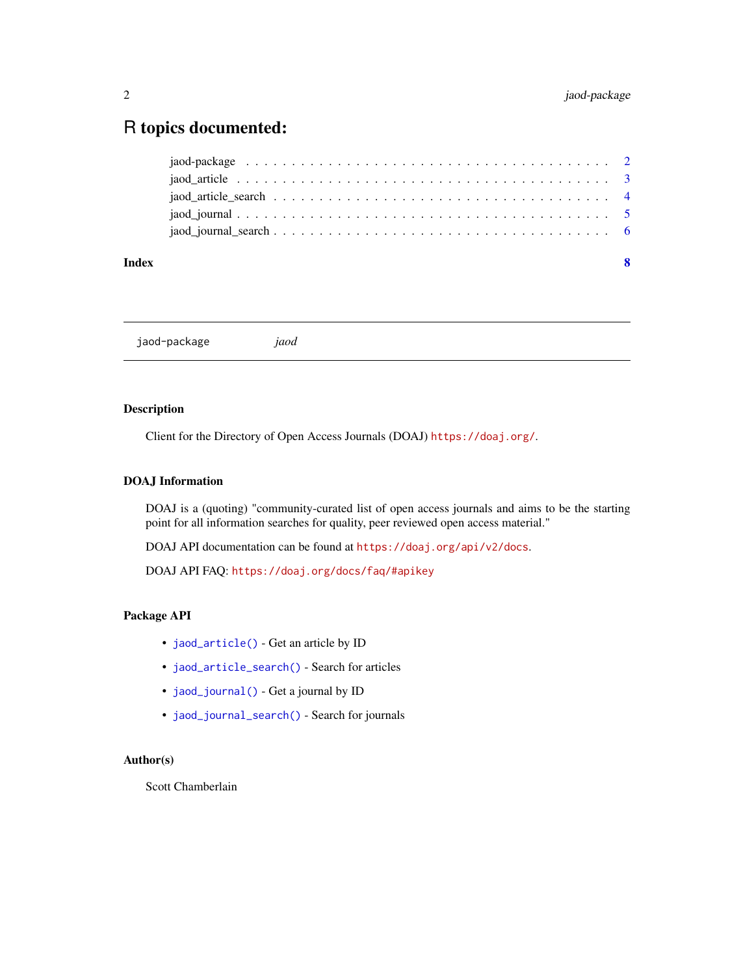### <span id="page-1-0"></span>R topics documented:

| Index | -8 |
|-------|----|
|       |    |
|       |    |
|       |    |
|       |    |
|       |    |

jaod-package *jaod*

#### Description

Client for the Directory of Open Access Journals (DOAJ) <https://doaj.org/>.

#### DOAJ Information

DOAJ is a (quoting) "community-curated list of open access journals and aims to be the starting point for all information searches for quality, peer reviewed open access material."

DOAJ API documentation can be found at <https://doaj.org/api/v2/docs>.

DOAJ API FAQ: <https://doaj.org/docs/faq/#apikey>

#### Package API

- [jaod\\_article\(\)](#page-2-1) Get an article by ID
- [jaod\\_article\\_search\(\)](#page-3-1) Search for articles
- [jaod\\_journal\(\)](#page-4-1) Get a journal by ID
- [jaod\\_journal\\_search\(\)](#page-5-1) Search for journals

#### Author(s)

Scott Chamberlain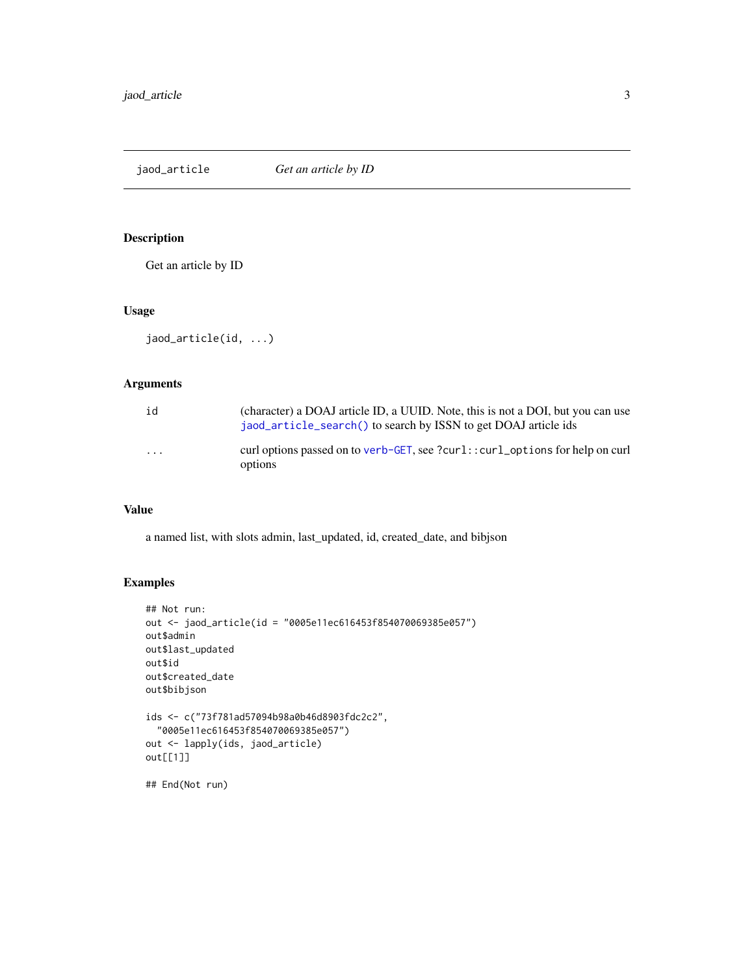<span id="page-2-1"></span><span id="page-2-0"></span>jaod\_article *Get an article by ID*

#### Description

Get an article by ID

#### Usage

```
jaod_article(id, ...)
```
#### Arguments

| id      | (character) a DOAJ article ID, a UUID. Note, this is not a DOI, but you can use<br>jaod_article_search() to search by ISSN to get DOAJ article ids |
|---------|----------------------------------------------------------------------------------------------------------------------------------------------------|
| $\cdot$ | curl options passed on to verb-GET, see ?curl::curl_options for help on curl<br>options                                                            |

#### Value

a named list, with slots admin, last\_updated, id, created\_date, and bibjson

#### Examples

```
## Not run:
out <- jaod_article(id = "0005e11ec616453f854070069385e057")
out$admin
out$last_updated
out$id
out$created_date
out$bibjson
ids <- c("73f781ad57094b98a0b46d8903fdc2c2",
  "0005e11ec616453f854070069385e057")
out <- lapply(ids, jaod_article)
out[[1]]
## End(Not run)
```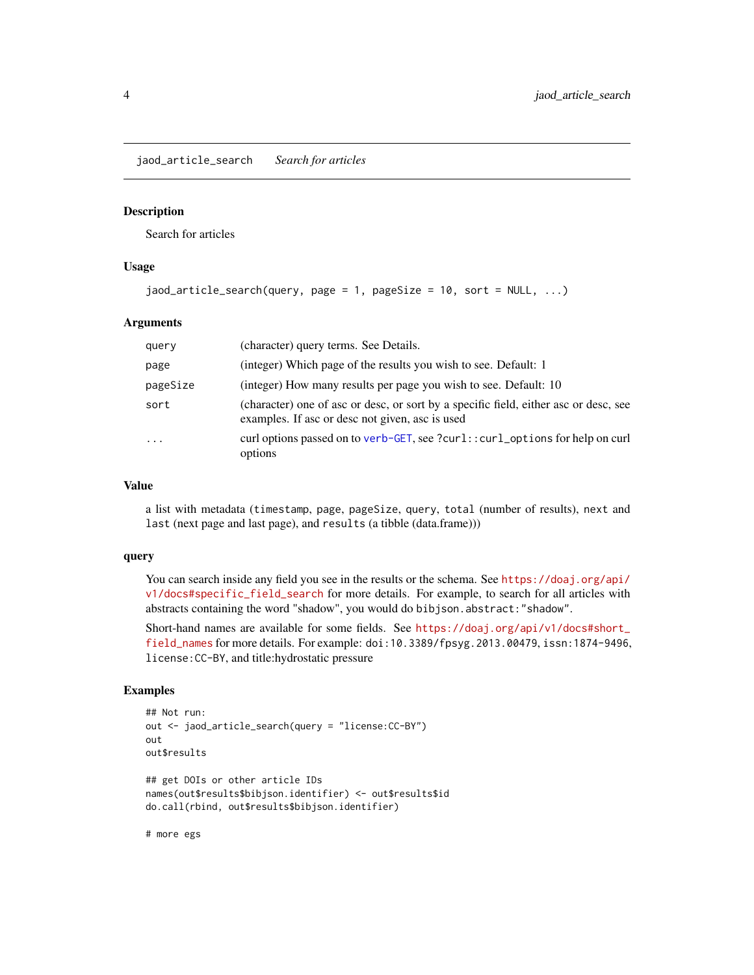<span id="page-3-1"></span><span id="page-3-0"></span>jaod\_article\_search *Search for articles*

#### Description

Search for articles

#### Usage

```
jaod_article_search(query, page = 1, pageSize = 10, sort = NULL, ...)
```
#### Arguments

| query    | (character) query terms. See Details.                                                                                                   |
|----------|-----------------------------------------------------------------------------------------------------------------------------------------|
| page     | (integer) Which page of the results you wish to see. Default: 1                                                                         |
| pageSize | (integer) How many results per page you wish to see. Default: 10                                                                        |
| sort     | (character) one of asc or desc, or sort by a specific field, either asc or desc, see<br>examples. If asc or desc not given, asc is used |
| .        | curl options passed on to verb-GET, see ?curl::curl_options for help on curl<br>options                                                 |

#### Value

a list with metadata (timestamp, page, pageSize, query, total (number of results), next and last (next page and last page), and results (a tibble (data.frame)))

#### query

You can search inside any field you see in the results or the schema. See [https://doaj.org/api/](https://doaj.org/api/v1/docs#specific_field_search) [v1/docs#specific\\_field\\_search](https://doaj.org/api/v1/docs#specific_field_search) for more details. For example, to search for all articles with abstracts containing the word "shadow", you would do bibjson.abstract:"shadow".

Short-hand names are available for some fields. See [https://doaj.org/api/v1/docs#short\\_](https://doaj.org/api/v1/docs#short_field_names) [field\\_names](https://doaj.org/api/v1/docs#short_field_names) for more details. For example: doi:10.3389/fpsyg.2013.00479, issn:1874-9496, license:CC-BY, and title:hydrostatic pressure

#### Examples

```
## Not run:
out <- jaod_article_search(query = "license:CC-BY")
out
out$results
## get DOIs or other article IDs
names(out$results$bibjson.identifier) <- out$results$id
do.call(rbind, out$results$bibjson.identifier)
# more egs
```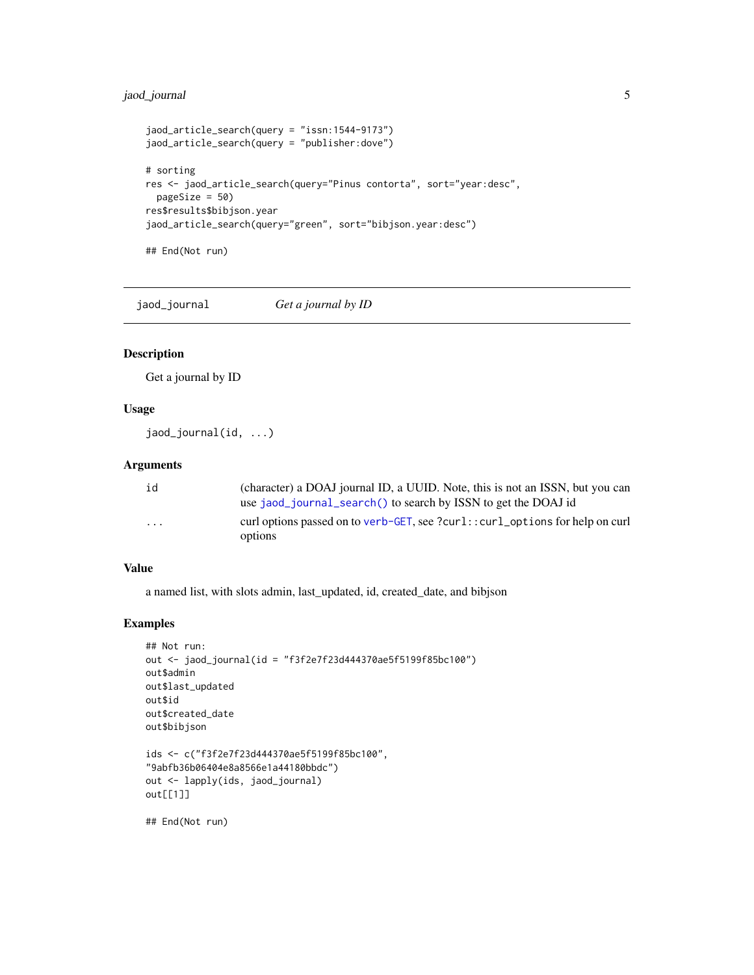#### <span id="page-4-0"></span>jaod\_journal 5

```
jaod_article_search(query = "issn:1544-9173")
jaod_article_search(query = "publisher:dove")
# sorting
res <- jaod_article_search(query="Pinus contorta", sort="year:desc",
 pageSize = 50)
res$results$bibjson.year
jaod_article_search(query="green", sort="bibjson.year:desc")
## End(Not run)
```
<span id="page-4-1"></span>jaod\_journal *Get a journal by ID*

#### Description

Get a journal by ID

#### Usage

```
jaod_journal(id, ...)
```
#### Arguments

| id                      | (character) a DOAJ journal ID, a UUID. Note, this is not an ISSN, but you can           |
|-------------------------|-----------------------------------------------------------------------------------------|
|                         | use jaod_journal_search() to search by ISSN to get the DOAJ id                          |
| $\cdot$ $\cdot$ $\cdot$ | curl options passed on to verb-GET, see ?curl::curl_options for help on curl<br>options |

#### Value

a named list, with slots admin, last\_updated, id, created\_date, and bibjson

#### Examples

```
## Not run:
out <- jaod_journal(id = "f3f2e7f23d444370ae5f5199f85bc100")
out$admin
out$last_updated
out$id
out$created_date
out$bibjson
ids <- c("f3f2e7f23d444370ae5f5199f85bc100",
"9abfb36b06404e8a8566e1a44180bbdc")
out <- lapply(ids, jaod_journal)
out[[1]]
```
## End(Not run)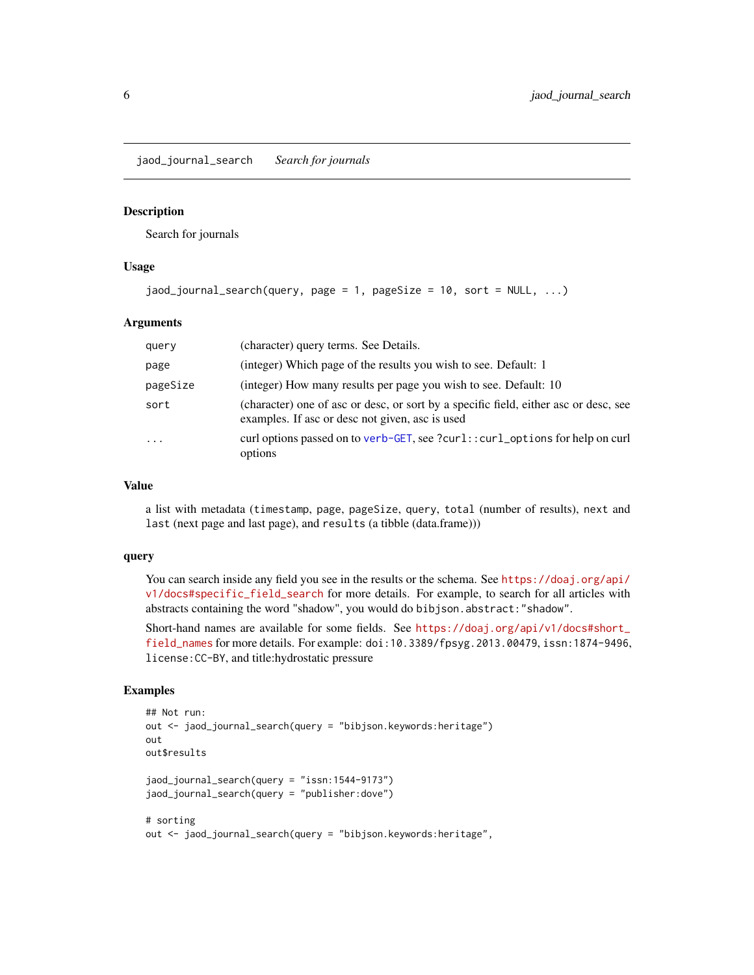<span id="page-5-1"></span><span id="page-5-0"></span>jaod\_journal\_search *Search for journals*

#### **Description**

Search for journals

#### Usage

```
jaod_journal_search(query, page = 1, pageSize = 10, sort = NULL, ...)
```
#### Arguments

| query    | (character) query terms. See Details.                                                                                                   |
|----------|-----------------------------------------------------------------------------------------------------------------------------------------|
| page     | (integer) Which page of the results you wish to see. Default: 1                                                                         |
| pageSize | (integer) How many results per page you wish to see. Default: 10                                                                        |
| sort     | (character) one of asc or desc, or sort by a specific field, either asc or desc, see<br>examples. If asc or desc not given, asc is used |
| .        | curl options passed on to verb-GET, see ?curl::curl_options for help on curl<br>options                                                 |

#### Value

a list with metadata (timestamp, page, pageSize, query, total (number of results), next and last (next page and last page), and results (a tibble (data.frame)))

#### query

You can search inside any field you see in the results or the schema. See [https://doaj.org/api/](https://doaj.org/api/v1/docs#specific_field_search) [v1/docs#specific\\_field\\_search](https://doaj.org/api/v1/docs#specific_field_search) for more details. For example, to search for all articles with abstracts containing the word "shadow", you would do bibjson.abstract:"shadow".

Short-hand names are available for some fields. See [https://doaj.org/api/v1/docs#short\\_](https://doaj.org/api/v1/docs#short_field_names) [field\\_names](https://doaj.org/api/v1/docs#short_field_names) for more details. For example: doi:10.3389/fpsyg.2013.00479, issn:1874-9496, license:CC-BY, and title:hydrostatic pressure

#### Examples

```
## Not run:
out <- jaod_journal_search(query = "bibjson.keywords:heritage")
out
out$results
jaod_journal_search(query = "issn:1544-9173")
jaod_journal_search(query = "publisher:dove")
# sorting
out <- jaod_journal_search(query = "bibjson.keywords:heritage",
```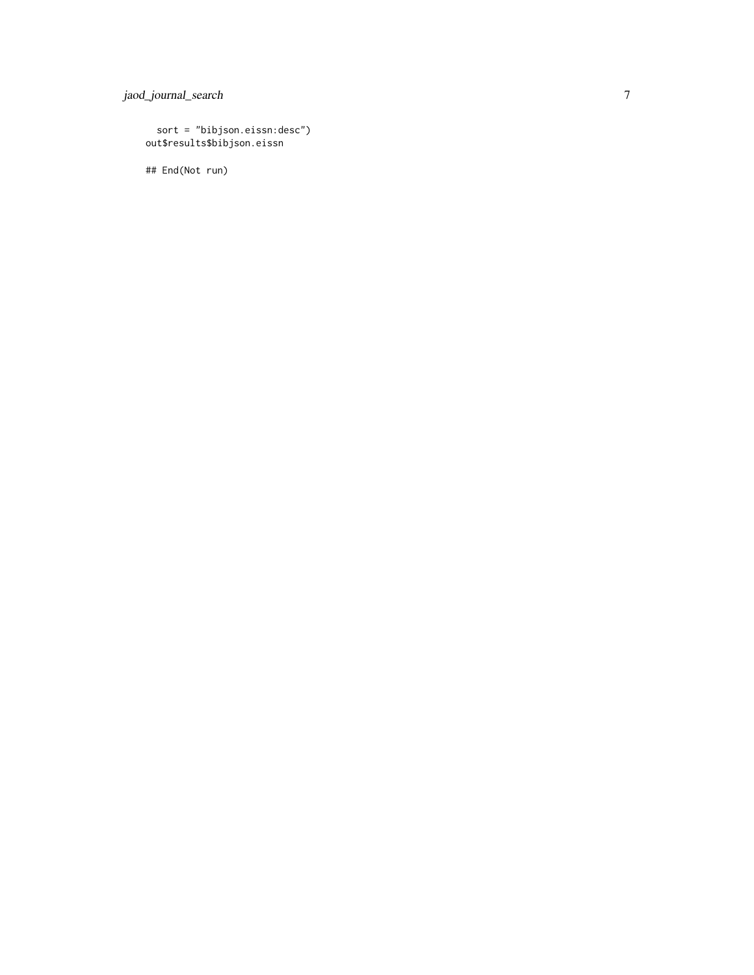jaod\_journal\_search

```
sort = "bibjson.eissn:desc")
out$results$bibjson.eissn
```
## End(Not run)